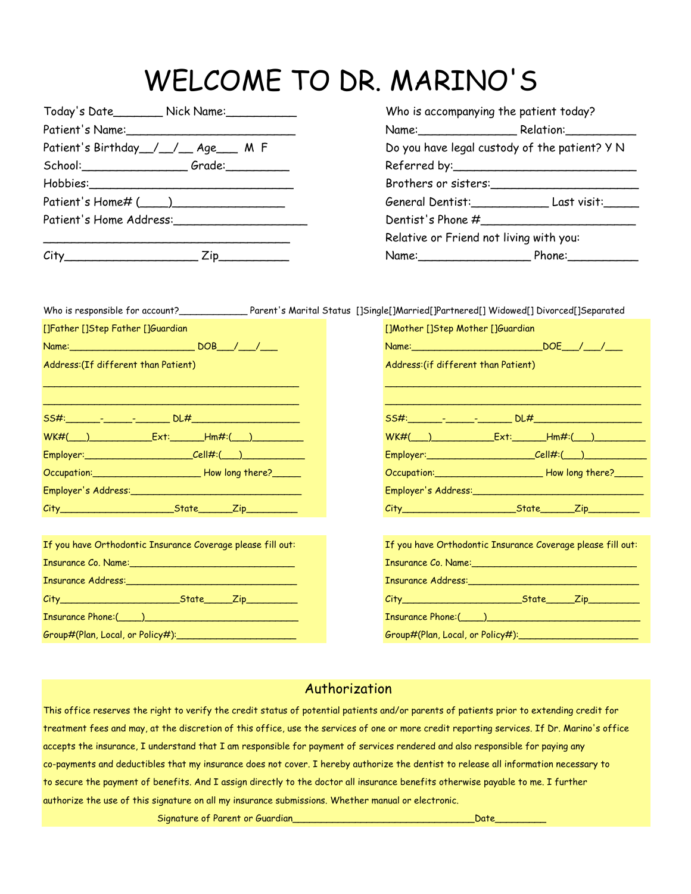## WELCOME TO DR. MARINO'S

|                                           | Today's Date__________ Nick Name:_____________<br>Who is accompanying the patient today? |                                                                                                                                                                                                                                |                              |  |  |
|-------------------------------------------|------------------------------------------------------------------------------------------|--------------------------------------------------------------------------------------------------------------------------------------------------------------------------------------------------------------------------------|------------------------------|--|--|
|                                           |                                                                                          |                                                                                                                                                                                                                                | Name: Relation:              |  |  |
| Patient's Birthday / / Age M F            |                                                                                          | Do you have legal custody of the patient? Y N                                                                                                                                                                                  |                              |  |  |
| School: Grade: Communications             |                                                                                          |                                                                                                                                                                                                                                |                              |  |  |
|                                           |                                                                                          |                                                                                                                                                                                                                                | Brothers or sisters:         |  |  |
| Patient's Home#(____)                     |                                                                                          |                                                                                                                                                                                                                                | General Dentist: Last visit: |  |  |
| Patient's Home Address: National Address: |                                                                                          | Dentist's Phone #                                                                                                                                                                                                              |                              |  |  |
|                                           |                                                                                          | Relative or Friend not living with you:                                                                                                                                                                                        |                              |  |  |
| $\mathcal{L}$ ity                         | 7in.                                                                                     | Namo: and the same of the same of the same of the same of the same of the same of the same of the same of the same of the same of the same of the same of the same of the same of the same of the same of the same of the same | Dh                           |  |  |

|                                                        | Who is accompanying the patient today?        |  |
|--------------------------------------------------------|-----------------------------------------------|--|
| Patient's Name:_____________________________           | Name: Relation: Relation:                     |  |
| Patient's Birthday__/__/__ Age___ M F                  | Do you have legal custody of the patient? Y N |  |
| School:___________________________Grade:______________ |                                               |  |
|                                                        | Brothers or sisters:                          |  |
| Patient's Home# (____)__________________               | General Dentist: Last visit:                  |  |
| Patient's Home Address:_________________               | Dentist's Phone #                             |  |
|                                                        | Relative or Friend not living with you:       |  |
| City__________________________<br>Zip                  | Name: Phone:                                  |  |

|                                                                                                                                                                                                                                | Who is responsible for account?________________Parent's Marital Status []Single[]Married[]Partnered[] Widowed[] Divorced[]Separated |
|--------------------------------------------------------------------------------------------------------------------------------------------------------------------------------------------------------------------------------|-------------------------------------------------------------------------------------------------------------------------------------|
| []Father []Step Father []Guardian                                                                                                                                                                                              | []Mother []Step Mother []Guardian                                                                                                   |
|                                                                                                                                                                                                                                |                                                                                                                                     |
| Address: (If different than Patient)                                                                                                                                                                                           | Address: (if different than Patient)                                                                                                |
| <u> 1999 - Johann John Stoff, amerikan bestein besteht eta erromaniar eta erromania eta erromania eta erromania</u>                                                                                                            |                                                                                                                                     |
|                                                                                                                                                                                                                                |                                                                                                                                     |
|                                                                                                                                                                                                                                |                                                                                                                                     |
| Employer: ______________________________Cell#:(____)____________________________                                                                                                                                               | Employer: _______________________________Cell#:(____)___________________________                                                    |
| Occupation: Community Contract Howlong there?                                                                                                                                                                                  | Occupation: Community Control How long there?                                                                                       |
|                                                                                                                                                                                                                                |                                                                                                                                     |
|                                                                                                                                                                                                                                |                                                                                                                                     |
|                                                                                                                                                                                                                                |                                                                                                                                     |
| If you have Orthodontic Insurance Coverage please fill out:                                                                                                                                                                    | If you have Orthodontic Insurance Coverage please fill out:                                                                         |
| Insurance Co. Name: 1988 and 1988 and 1988 and 1988 and 1988 and 1988 and 1988 and 1988 and 1988 and 1988 and 1988 and 1988 and 1988 and 1988 and 1988 and 1988 and 1988 and 1988 and 1988 and 1988 and 1988 and 1988 and 1988 | Insurance Co. Name: 1988 Manual Manual Manual Manual Manual Manual Manual Manual Manual Manual Manual Manual                        |
|                                                                                                                                                                                                                                |                                                                                                                                     |
|                                                                                                                                                                                                                                |                                                                                                                                     |
|                                                                                                                                                                                                                                |                                                                                                                                     |
| Group#(Plan, Local, or Policy#): Communications and Contact the Contact of Contact Art Contact Art Contact Art                                                                                                                 |                                                                                                                                     |

## Authorization

This office reserves the right to verify the credit status of potential patients and/or parents of patients prior to extending credit for treatment fees and may, at the discretion of this office, use the services of one or more credit reporting services. If Dr. Marino's office accepts the insurance, I understand that I am responsible for payment of services rendered and also responsible for paying any co-payments and deductibles that my insurance does not cover. I hereby authorize the dentist to release all information necessary to to secure the payment of benefits. And I assign directly to the doctor all insurance benefits otherwise payable to me. I further authorize the use of this signature on all my insurance submissions. Whether manual or electronic.

Signature of Parent or Guardian\_\_\_\_\_\_\_\_\_\_\_\_\_\_\_\_\_\_\_\_\_\_\_\_\_\_\_\_\_\_\_\_Date\_\_\_\_\_\_\_\_\_